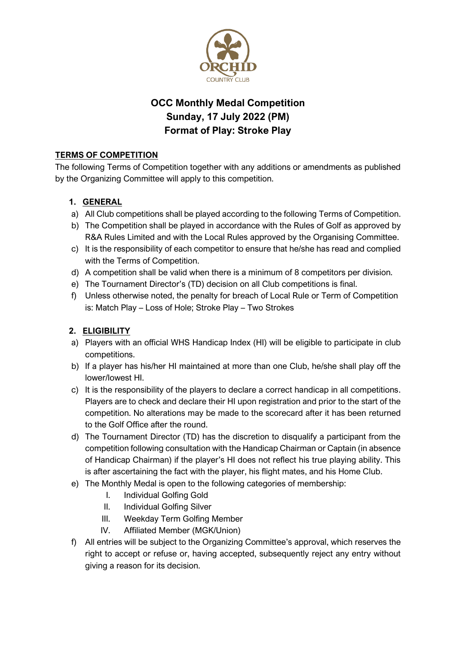

# **OCC Monthly Medal Competition Sunday, 17 July 2022 (PM) Format of Play: Stroke Play**

# **TERMS OF COMPETITION**

The following Terms of Competition together with any additions or amendments as published by the Organizing Committee will apply to this competition.

## **1. GENERAL**

- a) All Club competitions shall be played according to the following Terms of Competition.
- b) The Competition shall be played in accordance with the Rules of Golf as approved by R&A Rules Limited and with the Local Rules approved by the Organising Committee.
- c) It is the responsibility of each competitor to ensure that he/she has read and complied with the Terms of Competition.
- d) A competition shall be valid when there is a minimum of 8 competitors per division.
- e) The Tournament Director's (TD) decision on all Club competitions is final.
- f) Unless otherwise noted, the penalty for breach of Local Rule or Term of Competition is: Match Play – Loss of Hole; Stroke Play – Two Strokes

# **2. ELIGIBILITY**

- a) Players with an official WHS Handicap Index (HI) will be eligible to participate in club competitions.
- b) If a player has his/her HI maintained at more than one Club, he/she shall play off the lower/lowest HI.
- c) It is the responsibility of the players to declare a correct handicap in all competitions. Players are to check and declare their HI upon registration and prior to the start of the competition. No alterations may be made to the scorecard after it has been returned to the Golf Office after the round.
- d) The Tournament Director (TD) has the discretion to disqualify a participant from the competition following consultation with the Handicap Chairman or Captain (in absence of Handicap Chairman) if the player's HI does not reflect his true playing ability. This is after ascertaining the fact with the player, his flight mates, and his Home Club.
- e) The Monthly Medal is open to the following categories of membership:
	- I. Individual Golfing Gold
	- II. Individual Golfing Silver
	- III. Weekday Term Golfing Member
	- IV. Affiliated Member (MGK/Union)
- f) All entries will be subject to the Organizing Committee's approval, which reserves the right to accept or refuse or, having accepted, subsequently reject any entry without giving a reason for its decision.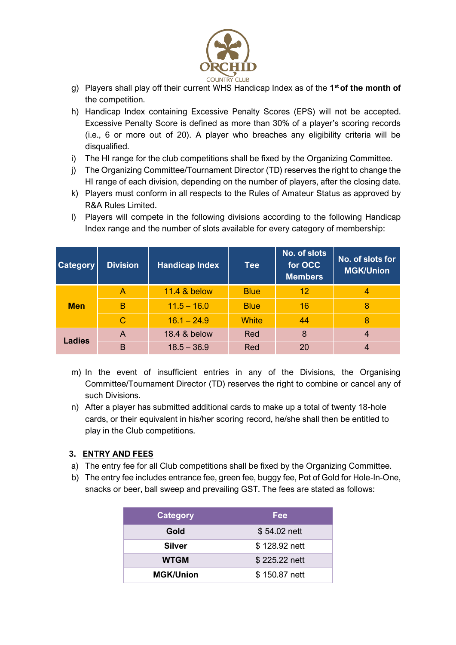

- g) Players shall play off their current WHS Handicap Index as of the **1 st of the month of** the competition.
- h) Handicap Index containing Excessive Penalty Scores (EPS) will not be accepted. Excessive Penalty Score is defined as more than 30% of a player's scoring records (i.e., 6 or more out of 20). A player who breaches any eligibility criteria will be disqualified.
- i) The HI range for the club competitions shall be fixed by the Organizing Committee.
- j) The Organizing Committee/Tournament Director (TD) reserves the right to change the HI range of each division, depending on the number of players, after the closing date.
- k) Players must conform in all respects to the Rules of Amateur Status as approved by R&A Rules Limited.
- l) Players will compete in the following divisions according to the following Handicap Index range and the number of slots available for every category of membership:

| <b>Category</b> | <b>Division</b> | <b>Handicap Index</b>   | <b>Tee</b>   | No. of slots<br>for OCC<br><b>Members</b> | No. of slots for<br><b>MGK/Union</b> |
|-----------------|-----------------|-------------------------|--------------|-------------------------------------------|--------------------------------------|
| <b>Men</b>      | А               | <b>11.4 &amp; below</b> | <b>Blue</b>  | 12                                        | 4                                    |
|                 | B               | $11.5 - 16.0$           | <b>Blue</b>  | 16                                        | 8                                    |
|                 | $\mathsf{C}$    | $16.1 - 24.9$           | <b>White</b> | 44                                        | 8                                    |
| Ladies          | A               | 18.4 & below            | Red          | 8                                         | 4                                    |
|                 | B               | $18.5 - 36.9$           | Red          | 20                                        | 4                                    |

- m) In the event of insufficient entries in any of the Divisions, the Organising Committee/Tournament Director (TD) reserves the right to combine or cancel any of such Divisions.
- n) After a player has submitted additional cards to make up a total of twenty 18-hole cards, or their equivalent in his/her scoring record, he/she shall then be entitled to play in the Club competitions.

# **3. ENTRY AND FEES**

- a) The entry fee for all Club competitions shall be fixed by the Organizing Committee.
- b) The entry fee includes entrance fee, green fee, buggy fee, Pot of Gold for Hole-In-One, snacks or beer, ball sweep and prevailing GST. The fees are stated as follows:

| <b>Category</b>  | Fee           |
|------------------|---------------|
| Gold             | \$54.02 nett  |
| <b>Silver</b>    | \$128.92 nett |
| <b>WTGM</b>      | \$225.22 nett |
| <b>MGK/Union</b> | \$150.87 nett |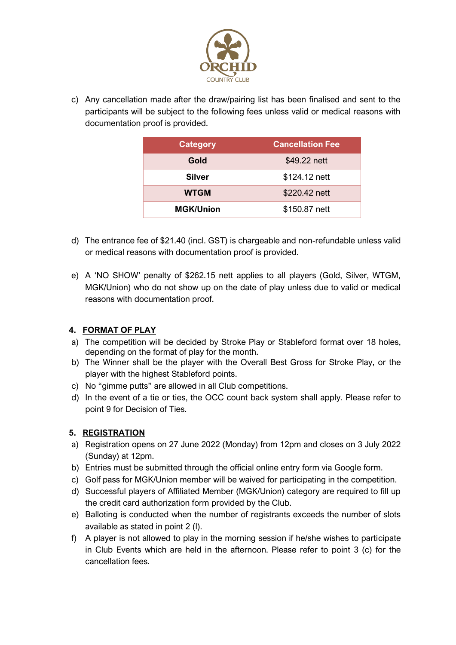

c) Any cancellation made after the draw/pairing list has been finalised and sent to the participants will be subject to the following fees unless valid or medical reasons with documentation proof is provided.

| <b>Category</b>  | <b>Cancellation Fee</b> |
|------------------|-------------------------|
| Gold             | \$49.22 nett            |
| Silver           | \$124.12 nett           |
| <b>WTGM</b>      | \$220.42 nett           |
| <b>MGK/Union</b> | \$150.87 nett           |

- d) The entrance fee of \$21.40 (incl. GST) is chargeable and non-refundable unless valid or medical reasons with documentation proof is provided.
- e) A 'NO SHOW' penalty of \$262.15 nett applies to all players (Gold, Silver, WTGM, MGK/Union) who do not show up on the date of play unless due to valid or medical reasons with documentation proof.

# **4. FORMAT OF PLAY**

- a) The competition will be decided by Stroke Play or Stableford format over 18 holes, depending on the format of play for the month.
- b) The Winner shall be the player with the Overall Best Gross for Stroke Play, or the player with the highest Stableford points.
- c) No "gimme putts" are allowed in all Club competitions.
- d) In the event of a tie or ties, the OCC count back system shall apply. Please refer to point 9 for Decision of Ties.

# **5. REGISTRATION**

- a) Registration opens on 27 June 2022 (Monday) from 12pm and closes on 3 July 2022 (Sunday) at 12pm.
- b) Entries must be submitted through the official online entry form via Google form.
- c) Golf pass for MGK/Union member will be waived for participating in the competition.
- d) Successful players of Affiliated Member (MGK/Union) category are required to fill up the credit card authorization form provided by the Club.
- e) Balloting is conducted when the number of registrants exceeds the number of slots available as stated in point 2 (l).
- f) A player is not allowed to play in the morning session if he/she wishes to participate in Club Events which are held in the afternoon. Please refer to point 3 (c) for the cancellation fees.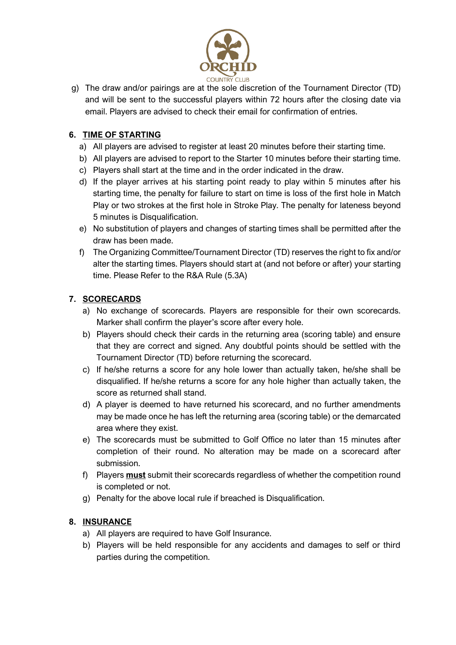

g) The draw and/or pairings are at the sole discretion of the Tournament Director (TD) and will be sent to the successful players within 72 hours after the closing date via email. Players are advised to check their email for confirmation of entries.

## **6. TIME OF STARTING**

- a) All players are advised to register at least 20 minutes before their starting time.
- b) All players are advised to report to the Starter 10 minutes before their starting time.
- c) Players shall start at the time and in the order indicated in the draw.
- d) If the player arrives at his starting point ready to play within 5 minutes after his starting time, the penalty for failure to start on time is loss of the first hole in Match Play or two strokes at the first hole in Stroke Play. The penalty for lateness beyond 5 minutes is Disqualification.
- e) No substitution of players and changes of starting times shall be permitted after the draw has been made.
- f) The Organizing Committee/Tournament Director (TD) reserves the right to fix and/or alter the starting times. Players should start at (and not before or after) your starting time. Please Refer to the R&A Rule (5.3A)

## **7. SCORECARDS**

- a) No exchange of scorecards. Players are responsible for their own scorecards. Marker shall confirm the player's score after every hole.
- b) Players should check their cards in the returning area (scoring table) and ensure that they are correct and signed. Any doubtful points should be settled with the Tournament Director (TD) before returning the scorecard.
- c) If he/she returns a score for any hole lower than actually taken, he/she shall be disqualified. If he/she returns a score for any hole higher than actually taken, the score as returned shall stand.
- d) A player is deemed to have returned his scorecard, and no further amendments may be made once he has left the returning area (scoring table) or the demarcated area where they exist.
- e) The scorecards must be submitted to Golf Office no later than 15 minutes after completion of their round. No alteration may be made on a scorecard after submission.
- f) Players **must** submit their scorecards regardless of whether the competition round is completed or not.
- g) Penalty for the above local rule if breached is Disqualification.

#### **8. INSURANCE**

- a) All players are required to have Golf Insurance.
- b) Players will be held responsible for any accidents and damages to self or third parties during the competition.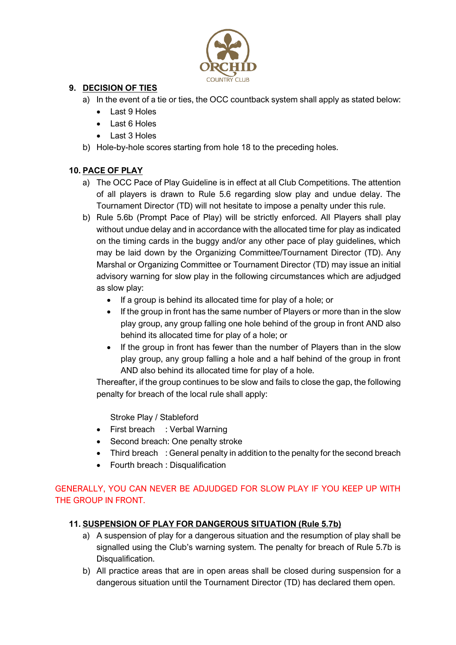

## **9. DECISION OF TIES**

- a) In the event of a tie or ties, the OCC countback system shall apply as stated below:
	- Last 9 Holes
	- Last 6 Holes
	- Last 3 Holes
- b) Hole-by-hole scores starting from hole 18 to the preceding holes.

## **10. PACE OF PLAY**

- a) The OCC Pace of Play Guideline is in effect at all Club Competitions. The attention of all players is drawn to Rule 5.6 regarding slow play and undue delay. The Tournament Director (TD) will not hesitate to impose a penalty under this rule.
- b) Rule 5.6b (Prompt Pace of Play) will be strictly enforced. All Players shall play without undue delay and in accordance with the allocated time for play as indicated on the timing cards in the buggy and/or any other pace of play guidelines, which may be laid down by the Organizing Committee/Tournament Director (TD). Any Marshal or Organizing Committee or Tournament Director (TD) may issue an initial advisory warning for slow play in the following circumstances which are adjudged as slow play:
	- If a group is behind its allocated time for play of a hole; or
	- If the group in front has the same number of Players or more than in the slow play group, any group falling one hole behind of the group in front AND also behind its allocated time for play of a hole; or
	- If the group in front has fewer than the number of Players than in the slow play group, any group falling a hole and a half behind of the group in front AND also behind its allocated time for play of a hole.

Thereafter, if the group continues to be slow and fails to close the gap, the following penalty for breach of the local rule shall apply:

Stroke Play / Stableford

- First breach : Verbal Warning
- Second breach: One penalty stroke
- Third breach : General penalty in addition to the penalty for the second breach
- Fourth breach : Disqualification

# GENERALLY, YOU CAN NEVER BE ADJUDGED FOR SLOW PLAY IF YOU KEEP UP WITH THE GROUP IN FRONT.

#### **11. SUSPENSION OF PLAY FOR DANGEROUS SITUATION (Rule 5.7b)**

- a) A suspension of play for a dangerous situation and the resumption of play shall be signalled using the Club's warning system. The penalty for breach of Rule 5.7b is Disqualification.
- b) All practice areas that are in open areas shall be closed during suspension for a dangerous situation until the Tournament Director (TD) has declared them open.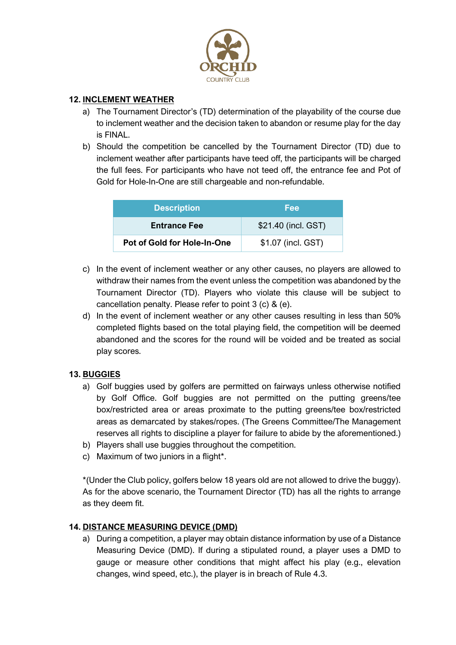

#### **12. INCLEMENT WEATHER**

- a) The Tournament Director's (TD) determination of the playability of the course due to inclement weather and the decision taken to abandon or resume play for the day is FINAL.
- b) Should the competition be cancelled by the Tournament Director (TD) due to inclement weather after participants have teed off, the participants will be charged the full fees. For participants who have not teed off, the entrance fee and Pot of Gold for Hole-In-One are still chargeable and non-refundable.

| <b>Description</b>          | Fee                 |
|-----------------------------|---------------------|
| <b>Entrance Fee</b>         | \$21.40 (incl. GST) |
| Pot of Gold for Hole-In-One | \$1.07 (incl. GST)  |

- c) In the event of inclement weather or any other causes, no players are allowed to withdraw their names from the event unless the competition was abandoned by the Tournament Director (TD). Players who violate this clause will be subject to cancellation penalty. Please refer to point 3 (c) & (e).
- d) In the event of inclement weather or any other causes resulting in less than 50% completed flights based on the total playing field, the competition will be deemed abandoned and the scores for the round will be voided and be treated as social play scores.

#### **13. BUGGIES**

- a) Golf buggies used by golfers are permitted on fairways unless otherwise notified by Golf Office. Golf buggies are not permitted on the putting greens/tee box/restricted area or areas proximate to the putting greens/tee box/restricted areas as demarcated by stakes/ropes. (The Greens Committee/The Management reserves all rights to discipline a player for failure to abide by the aforementioned.)
- b) Players shall use buggies throughout the competition.
- c) Maximum of two juniors in a flight\*.

\*(Under the Club policy, golfers below 18 years old are not allowed to drive the buggy). As for the above scenario, the Tournament Director (TD) has all the rights to arrange as they deem fit.

#### **14. DISTANCE MEASURING DEVICE (DMD)**

a) During a competition, a player may obtain distance information by use of a Distance Measuring Device (DMD). If during a stipulated round, a player uses a DMD to gauge or measure other conditions that might affect his play (e.g., elevation changes, wind speed, etc.), the player is in breach of Rule 4.3.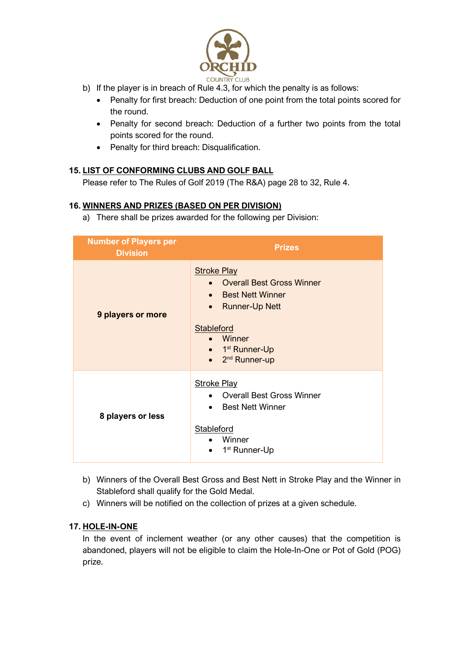

- b) If the player is in breach of Rule 4.3, for which the penalty is as follows:
	- Penalty for first breach: Deduction of one point from the total points scored for the round.
	- Penalty for second breach: Deduction of a further two points from the total points scored for the round.
	- Penalty for third breach: Disqualification.

## **15. LIST OF CONFORMING CLUBS AND GOLF BALL**

Please refer to The Rules of Golf 2019 (The R&A) page 28 to 32, Rule 4.

#### **16. WINNERS AND PRIZES (BASED ON PER DIVISION)**

a) There shall be prizes awarded for the following per Division:

| <b>Number of Players per</b><br><b>Division</b> | <b>Prizes</b>                                                                                                                                                                                                                           |
|-------------------------------------------------|-----------------------------------------------------------------------------------------------------------------------------------------------------------------------------------------------------------------------------------------|
| 9 players or more                               | <b>Stroke Play</b><br>• Overall Best Gross Winner<br><b>Best Nett Winner</b><br>$\bullet$<br><b>Runner-Up Nett</b><br>$\bullet$<br>Stableford<br>• Winner<br>$\bullet$ 1 <sup>st</sup> Runner-Up<br>$\bullet$ 2 <sup>nd</sup> Runner-up |
| 8 players or less                               | <b>Stroke Play</b><br><b>Overall Best Gross Winner</b><br><b>Best Nett Winner</b><br>Stableford<br>Winner<br>1 <sup>st</sup> Runner-Up                                                                                                  |

- b) Winners of the Overall Best Gross and Best Nett in Stroke Play and the Winner in Stableford shall qualify for the Gold Medal.
- c) Winners will be notified on the collection of prizes at a given schedule.

#### **17. HOLE-IN-ONE**

In the event of inclement weather (or any other causes) that the competition is abandoned, players will not be eligible to claim the Hole-In-One or Pot of Gold (POG) prize.